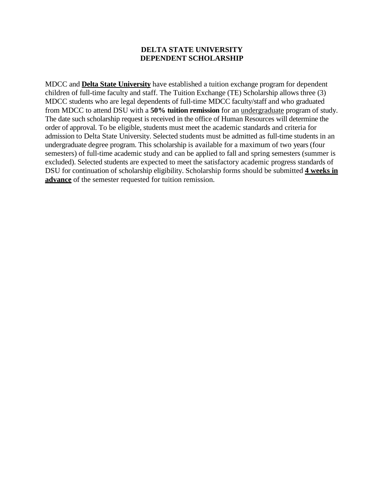## **DELTA STATE UNIVERSITY DEPENDENT SCHOLARSHIP**

MDCC and **Delta State University** have established a tuition exchange program for dependent children of full-time faculty and staff. The Tuition Exchange (TE) Scholarship allows three (3) MDCC students who are legal dependents of full-time MDCC faculty/staff and who graduated from MDCC to attend DSU with a **50% tuition remission** for an undergraduate program of study. The date such scholarship request is received in the office of Human Resources will determine the order of approval. To be eligible, students must meet the academic standards and criteria for admission to Delta State University. Selected students must be admitted as full-time students in an undergraduate degree program. This scholarship is available for a maximum of two years (four semesters) of full-time academic study and can be applied to fall and spring semesters (summer is excluded). Selected students are expected to meet the satisfactory academic progress standards of DSU for continuation of scholarship eligibility. Scholarship forms should be submitted **4 weeks in advance** of the semester requested for tuition remission.